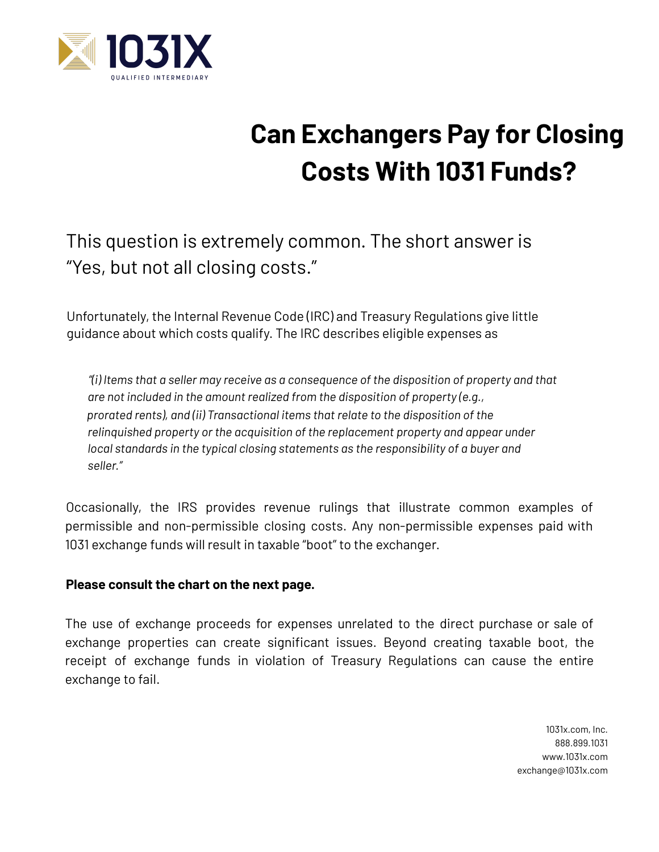

## **Can Exchangers Pay for Closing Costs With 1031 Funds?**

This question is extremely common. The short answer is "Yes, but not all closing costs."

Unfortunately, the Internal Revenue Code (IRC) and Treasury Regulations give little guidance about which costs qualify. The IRC describes eligible expenses as

*"(i) Items that a seller may receive as a consequence of the disposition of property and that are not included in the amount realized from the disposition of property (e.g., prorated rents), and (ii) Transactional items that relate to the disposition of the relinquished property or the acquisition of the replacement property and appear under local standards in the typical closing statements as the responsibility of a buyer and seller."*

Occasionally, the IRS provides revenue rulings that illustrate common examples of permissible and non-permissible closing costs. Any non-permissible expenses paid with 1031 exchange funds will result in taxable "boot" to the exchanger.

## **Please consult the chart on the next page.**

The use of exchange proceeds for expenses unrelated to the direct purchase or sale of exchange properties can create significant issues. Beyond creating taxable boot, the receipt of exchange funds in violation of Treasury Regulations can cause the entire exchange to fail.

> 1031x.com, Inc. 888.899.1031 www.1031x.com exchange@1031x.com